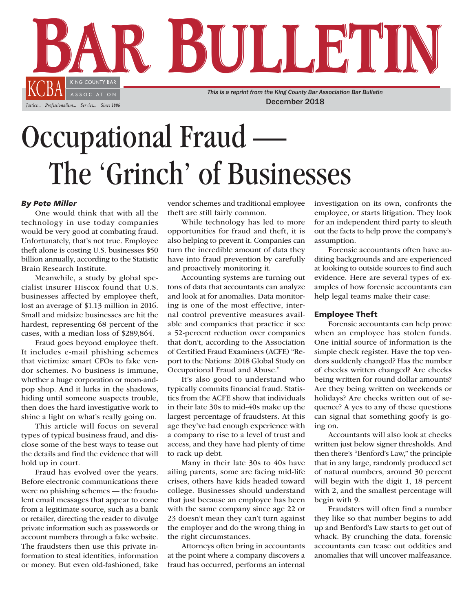

# Occupational Fraud The 'Grinch' of Businesses

## *By Pete Miller*

One would think that with all the technology in use today companies would be very good at combating fraud. Unfortunately, that's not true. Employee theft alone is costing U.S. businesses \$50 billion annually, according to the Statistic Brain Research Institute.

Meanwhile, a study by global specialist insurer Hiscox found that U.S. businesses affected by employee theft, lost an average of \$1.13 million in 2016. Small and midsize businesses are hit the hardest, representing 68 percent of the cases, with a median loss of \$289,864.

Fraud goes beyond employee theft. It includes e-mail phishing schemes that victimize smart CFOs to fake vendor schemes. No business is immune, whether a huge corporation or mom-andpop shop. And it lurks in the shadows, hiding until someone suspects trouble, then does the hard investigative work to shine a light on what's really going on.

This article will focus on several types of typical business fraud, and disclose some of the best ways to tease out the details and find the evidence that will hold up in court.

Fraud has evolved over the years. Before electronic communications there were no phishing schemes — the fraudulent email messages that appear to come from a legitimate source, such as a bank or retailer, directing the reader to divulge private information such as passwords or account numbers through a fake website. The fraudsters then use this private information to steal identities, information or money. But even old-fashioned, fake vendor schemes and traditional employee theft are still fairly common.

While technology has led to more opportunities for fraud and theft, it is also helping to prevent it. Companies can turn the incredible amount of data they have into fraud prevention by carefully and proactively monitoring it.

Accounting systems are turning out tons of data that accountants can analyze and look at for anomalies. Data monitoring is one of the most effective, internal control preventive measures available and companies that practice it see a 52-percent reduction over companies that don't, according to the Association of Certified Fraud Examiners (ACFE) "Report to the Nations: 2018 Global Study on Occupational Fraud and Abuse."

It's also good to understand who typically commits financial fraud. Statistics from the ACFE show that individuals in their late 30s to mid-40s make up the largest percentage of fraudsters. At this age they've had enough experience with a company to rise to a level of trust and access, and they have had plenty of time to rack up debt.

Many in their late 30s to 40s have ailing parents, some are facing mid-life crises, others have kids headed toward college. Businesses should understand that just because an employee has been with the same company since age 22 or 23 doesn't mean they can't turn against the employer and do the wrong thing in the right circumstances.

Attorneys often bring in accountants at the point where a company discovers a fraud has occurred, performs an internal investigation on its own, confronts the employee, or starts litigation. They look for an independent third party to sleuth out the facts to help prove the company's assumption.

Forensic accountants often have auditing backgrounds and are experienced at looking to outside sources to find such evidence. Here are several types of examples of how forensic accountants can help legal teams make their case:

## Employee Theft

Forensic accountants can help prove when an employee has stolen funds. One initial source of information is the simple check register. Have the top vendors suddenly changed? Has the number of checks written changed? Are checks being written for round dollar amounts? Are they being written on weekends or holidays? Are checks written out of sequence? A yes to any of these questions can signal that something goofy is going on.

Accountants will also look at checks written just below signer thresholds. And then there's "Benford's Law," the principle that in any large, randomly produced set of natural numbers, around 30 percent will begin with the digit 1, 18 percent with 2, and the smallest percentage will begin with 9.

Fraudsters will often find a number they like so that number begins to add up and Benford's Law starts to get out of whack. By crunching the data, forensic accountants can tease out oddities and anomalies that will uncover malfeasance.